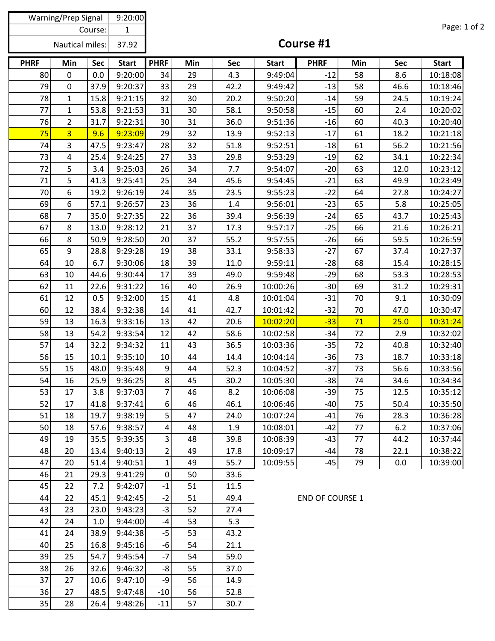| Warning/Prep Signal    |                |              | 9:20:00      |                         |     |      |              |                        |     |              |              |
|------------------------|----------------|--------------|--------------|-------------------------|-----|------|--------------|------------------------|-----|--------------|--------------|
| Course:                |                | $\mathbf{1}$ |              |                         |     |      |              |                        |     | Page: 1 of 2 |              |
| <b>Nautical miles:</b> |                |              | 37.92        | Course #1               |     |      |              |                        |     |              |              |
| <b>PHRF</b>            | Min            | <b>Sec</b>   | <b>Start</b> | <b>PHRF</b>             | Min | Sec  | <b>Start</b> | <b>PHRF</b>            | Min | <b>Sec</b>   | <b>Start</b> |
| 80                     | $\mathbf 0$    | 0.0          | 9:20:00      | 34                      | 29  | 4.3  | 9:49:04      | $-12$                  | 58  | 8.6          | 10:18:08     |
| 79                     | $\mathbf 0$    | 37.9         | 9:20:37      | 33                      | 29  | 42.2 | 9:49:42      | $-13$                  | 58  | 46.6         | 10:18:46     |
| 78                     | $\mathbf{1}$   | 15.8         | 9:21:15      | 32                      | 30  | 20.2 | 9:50:20      | $-14$                  | 59  | 24.5         | 10:19:24     |
| 77                     | $\mathbf{1}$   | 53.8         | 9:21:53      | 31                      | 30  | 58.1 | 9:50:58      | $-15$                  | 60  | 2.4          | 10:20:02     |
| 76                     | $\overline{2}$ | 31.7         | 9:22:31      | 30                      | 31  | 36.0 | 9:51:36      | $-16$                  | 60  | 40.3         | 10:20:40     |
| 75                     | $\overline{3}$ | 9.6          | 9:23:09      | 29                      | 32  | 13.9 | 9:52:13      | $-17$                  | 61  | 18.2         | 10:21:18     |
| 74                     | 3              | 47.5         | 9:23:47      | 28                      | 32  | 51.8 | 9:52:51      | $-18$                  | 61  | 56.2         | 10:21:56     |
| 73                     | 4              | 25.4         | 9:24:25      | 27                      | 33  | 29.8 | 9:53:29      | $-19$                  | 62  | 34.1         | 10:22:34     |
| 72                     | 5              | 3.4          | 9:25:03      | 26                      | 34  | 7.7  | 9:54:07      | $-20$                  | 63  | 12.0         | 10:23:12     |
| 71                     | 5              | 41.3         | 9:25:41      | 25                      | 34  | 45.6 | 9:54:45      | $-21$                  | 63  | 49.9         | 10:23:49     |
| 70                     | 6              | 19.2         | 9:26:19      | 24                      | 35  | 23.5 | 9:55:23      | $-22$                  | 64  | 27.8         | 10:24:27     |
| 69                     | 6              | 57.1         | 9:26:57      | 23                      | 36  | 1.4  | 9:56:01      | $-23$                  | 65  | 5.8          | 10:25:05     |
| 68                     | $\overline{7}$ | 35.0         | 9:27:35      | 22                      | 36  | 39.4 | 9:56:39      | $-24$                  | 65  | 43.7         | 10:25:43     |
| 67                     | 8              | 13.0         | 9:28:12      | 21                      | 37  | 17.3 | 9:57:17      | $-25$                  | 66  | 21.6         | 10:26:21     |
| 66                     | 8              | 50.9         | 9:28:50      | 20                      | 37  | 55.2 | 9:57:55      | $-26$                  | 66  | 59.5         | 10:26:59     |
| 65                     | 9              | 28.8         | 9:29:28      | 19                      | 38  | 33.1 | 9:58:33      | $-27$                  | 67  | 37.4         | 10:27:37     |
| 64                     | 10             | 6.7          | 9:30:06      | 18                      | 39  | 11.0 | 9:59:11      | $-28$                  | 68  | 15.4         | 10:28:15     |
| 63                     | 10             | 44.6         | 9:30:44      | 17                      | 39  | 49.0 | 9:59:48      | $-29$                  | 68  | 53.3         | 10:28:53     |
| 62                     | 11             | 22.6         | 9:31:22      | 16                      | 40  | 26.9 | 10:00:26     | $-30$                  | 69  | 31.2         | 10:29:31     |
| 61                     | 12             | 0.5          | 9:32:00      | 15                      | 41  | 4.8  | 10:01:04     | $-31$                  | 70  | 9.1          | 10:30:09     |
| 60                     | 12             | 38.4         | 9:32:38      | 14                      | 41  | 42.7 | 10:01:42     | $-32$                  | 70  | 47.0         | 10:30:47     |
| 59                     | 13             | 16.3         | 9:33:16      | 13                      | 42  | 20.6 | 10:02:20     | $-33$                  | 71  | 25.0         | 10:31:24     |
| 58                     | 13             | 54.2         | 9:33:54      | 12                      | 42  | 58.6 | 10:02:58     | $-34$                  | 72  | 2.9          | 10:32:02     |
| 57                     | 14             | 32.2         | 9:34:32      | 11                      | 43  | 36.5 | 10:03:36     | $-35$                  | 72  | 40.8         | 10:32:40     |
| 56                     | 15             | 10.1         | 9:35:10      | 10                      | 44  | 14.4 | 10:04:14     | $-36$                  | 73  | 18.7         | 10:33:18     |
| 55                     | 15             | 48.0         | 9:35:48      | $\overline{9}$          | 44  | 52.3 | 10:04:52     | $-37$                  | 73  | 56.6         | 10:33:56     |
| 54                     | 16             | 25.9         | 9:36:25      | 8 <sup>1</sup>          | 45  | 30.2 | 10:05:30     | $-38$                  | 74  | 34.6         | 10:34:34     |
| 53                     | 17             | 3.8          | 9:37:03      | 7 <sup>1</sup>          | 46  | 8.2  | 10:06:08     | $-39$                  | 75  | 12.5         | 10:35:12     |
| 52                     | 17             | 41.8         | 9:37:41      | 6                       | 46  | 46.1 | 10:06:46     | $-40$                  | 75  | 50.4         | 10:35:50     |
| 51                     | 18             | 19.7         | 9:38:19      | 5 <sup>1</sup>          | 47  | 24.0 | 10:07:24     | $-41$                  | 76  | 28.3         | 10:36:28     |
| 50                     | 18             | 57.6         | 9:38:57      | $\vert 4 \vert$         | 48  | 1.9  | 10:08:01     | $-42$                  | 77  | 6.2          | 10:37:06     |
| 49                     | 19             | 35.5         | 9:39:35      | $\overline{\mathbf{3}}$ | 48  | 39.8 | 10:08:39     | $-43$                  | 77  | 44.2         | 10:37:44     |
| 48                     | 20             | 13.4         | 9:40:13      | $\overline{2}$          | 49  | 17.8 | 10:09:17     | $-44$                  | 78  | 22.1         | 10:38:22     |
| 47                     | 20             | 51.4         | 9:40:51      | $1\vert$                | 49  | 55.7 | 10:09:55     | $-45$                  | 79  | 0.0          | 10:39:00     |
| 46                     | 21             | 29.3         | 9:41:29      | $\overline{0}$          | 50  | 33.6 |              |                        |     |              |              |
| 45                     | 22             | 7.2          | 9:42:07      | $-1$                    | 51  | 11.5 |              |                        |     |              |              |
| 44                     | 22             | 45.1         | 9:42:45      | $-2$                    | 51  | 49.4 |              | <b>END OF COURSE 1</b> |     |              |              |
| 43                     | 23             | 23.0         | 9:43:23      | $-3$                    | 52  | 27.4 |              |                        |     |              |              |
| 42                     | 24             | 1.0          | 9:44:00      | $-4$                    | 53  | 5.3  |              |                        |     |              |              |
| 41                     | 24             | 38.9         | 9:44:38      | $-5$                    | 53  | 43.2 |              |                        |     |              |              |
| 40                     | 25             | 16.8         | 9:45:16      | $-6$                    | 54  | 21.1 |              |                        |     |              |              |
| 39                     | 25             | 54.7         | 9:45:54      | $-7$                    | 54  | 59.0 |              |                        |     |              |              |
| 38                     | 26             | 32.6         | 9:46:32      | $-8$                    | 55  | 37.0 |              |                        |     |              |              |
| 37                     | 27             | 10.6         | 9:47:10      | $-9$                    | 56  | 14.9 |              |                        |     |              |              |
| 36                     | 27             | 48.5         | 9:47:48      | $-10$                   | 56  | 52.8 |              |                        |     |              |              |
| 35                     | 28             | 26.4         | 9:48:26      | $-11$                   | 57  | 30.7 |              |                        |     |              |              |
|                        |                |              |              |                         |     |      |              |                        |     |              |              |